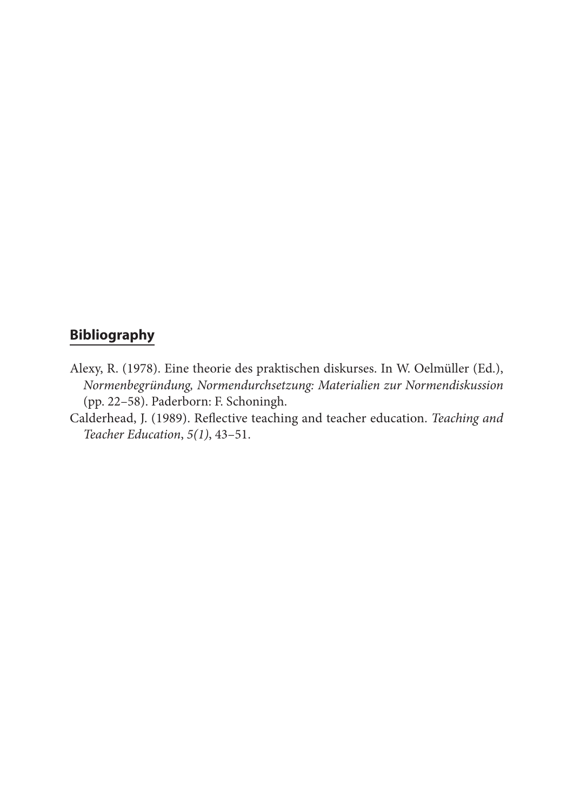## **Bibliography**

- Alexy, R. (1978). Eine theorie des praktischen diskurses. In W. Oelmüller (Ed.), *Normenbegründung, Normendurchsetzung: Materialien zur Normendiskussion* (pp. 22–58). Paderborn: F. Schoningh.
- Calderhead, J. (1989). Reflective teaching and teacher education. *Teaching and Teacher Education*, *5(1)*, 43–51.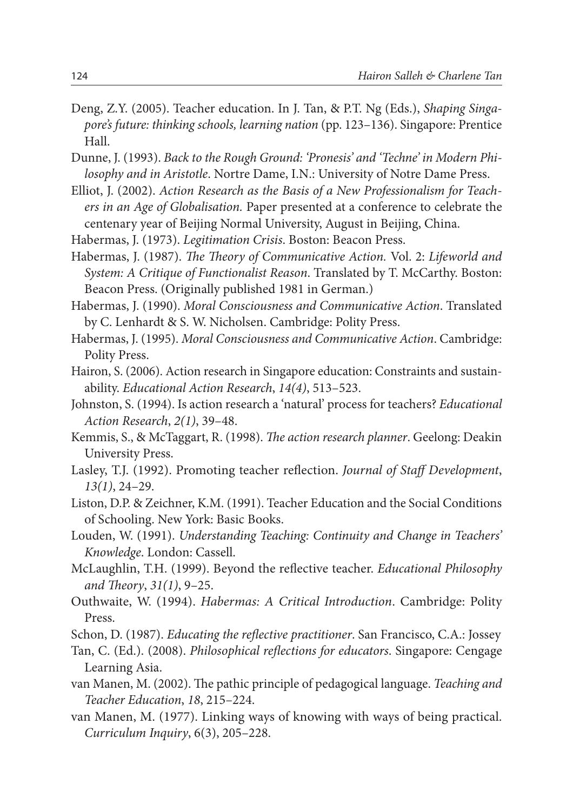- Deng, Z.Y. (2005). Teacher education. In J. Tan, & P.T. Ng (Eds.), *Shaping Singapore's future: thinking schools, learning nation* (pp. 123–136). Singapore: Prentice Hall.
- Dunne, J. (1993). *Back to the Rough Ground: 'Pronesis' and 'Techne' in Modern Philosophy and in Aristotle*. Nortre Dame, I.N.: University of Notre Dame Press.
- Elliot, J. (2002). *Action Research as the Basis of a New Professionalism for Teachers in an Age of Globalisation.* Paper presented at a conference to celebrate the centenary year of Beijing Normal University, August in Beijing, China.
- Habermas, J. (1973). *Legitimation Crisis*. Boston: Beacon Press.
- Habermas, J. (1987). *The Theory of Communicative Action.* Vol. 2: *Lifeworld and System: A Critique of Functionalist Reason*. Translated by T. McCarthy. Boston: Beacon Press. (Originally published 1981 in German.)
- Habermas, J. (1990). *Moral Consciousness and Communicative Action*. Translated by C. Lenhardt & S. W. Nicholsen. Cambridge: Polity Press.
- Habermas, J. (1995). *Moral Consciousness and Communicative Action*. Cambridge: Polity Press.
- Hairon, S. (2006). Action research in Singapore education: Constraints and sustainability. *Educational Action Research*, *14(4)*, 513–523.
- Johnston, S. (1994). Is action research a 'natural' process for teachers? *Educational Action Research*, *2(1)*, 39–48.
- Kemmis, S., & McTaggart, R. (1998). *The action research planner*. Geelong: Deakin University Press.
- Lasley, T.J. (1992). Promoting teacher reflection. *Journal of Staff Development*, *13(1)*, 24–29.
- Liston, D.P. & Zeichner, K.M. (1991). Teacher Education and the Social Conditions of Schooling. New York: Basic Books.
- Louden, W. (1991). *Understanding Teaching: Continuity and Change in Teachers' Knowledge*. London: Cassell.
- McLaughlin, T.H. (1999). Beyond the reflective teacher. *Educational Philosophy and Theory*, *31(1)*, 9–25.
- Outhwaite, W. (1994). *Habermas: A Critical Introduction*. Cambridge: Polity Press.
- Schon, D. (1987). *Educating the reflective practitioner*. San Francisco, C.A.: Jossey
- Tan, C. (Ed.). (2008). *Philosophical reflections for educators*. Singapore: Cengage Learning Asia.
- van Manen, M. (2002). The pathic principle of pedagogical language. *Teaching and Teacher Education*, *18*, 215–224.
- van Manen, M. (1977). Linking ways of knowing with ways of being practical. *Curriculum Inquiry*, 6(3), 205–228.